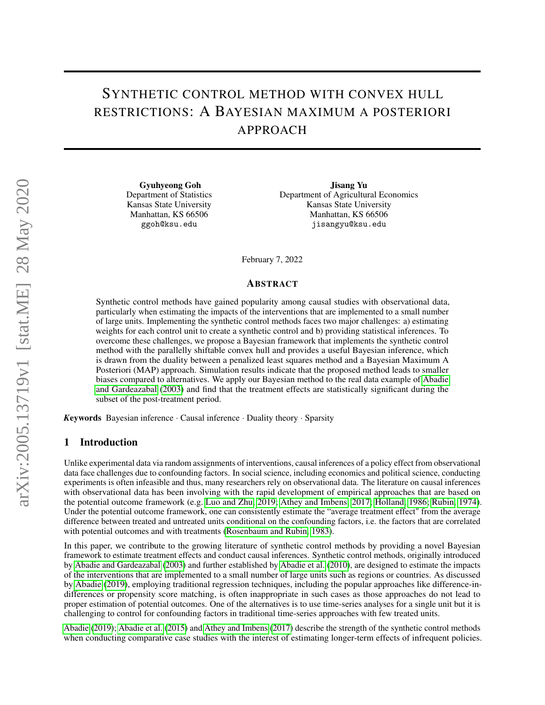# SYNTHETIC CONTROL METHOD WITH CONVEX HULL RESTRICTIONS: A BAYESIAN MAXIMUM A POSTERIORI APPROACH

Gyuhyeong Goh Department of Statistics Kansas State University Manhattan, KS 66506 ggoh@ksu.edu

Jisang Yu Department of Agricultural Economics Kansas State University Manhattan, KS 66506 jisangyu@ksu.edu

February 7, 2022

#### ABSTRACT

Synthetic control methods have gained popularity among causal studies with observational data, particularly when estimating the impacts of the interventions that are implemented to a small number of large units. Implementing the synthetic control methods faces two major challenges: a) estimating weights for each control unit to create a synthetic control and b) providing statistical inferences. To overcome these challenges, we propose a Bayesian framework that implements the synthetic control method with the parallelly shiftable convex hull and provides a useful Bayesian inference, which is drawn from the duality between a penalized least squares method and a Bayesian Maximum A Posteriori (MAP) approach. Simulation results indicate that the proposed method leads to smaller biases compared to alternatives. We apply our Bayesian method to the real data example of [Abadie](#page-11-0) [and Gardeazabal](#page-11-0) [\(2003\)](#page-11-0) and find that the treatment effects are statistically significant during the subset of the post-treatment period.

*K*eywords Bayesian inference · Causal inference · Duality theory · Sparsity

#### 1 Introduction

Unlike experimental data via random assignments of interventions, causal inferences of a policy effect from observational data face challenges due to confounding factors. In social science, including economics and political science, conducting experiments is often infeasible and thus, many researchers rely on observational data. The literature on causal inferences with observational data has been involving with the rapid development of empirical approaches that are based on the potential outcome framework (e.g. [Luo and Zhu, 2019;](#page-11-1) [Athey and Imbens, 2017;](#page-11-2) [Holland, 1986;](#page-11-3) [Rubin, 1974\)](#page-11-4). Under the potential outcome framework, one can consistently estimate the "average treatment effect" from the average difference between treated and untreated units conditional on the confounding factors, i.e. the factors that are correlated with potential outcomes and with treatments [\(Rosenbaum and Rubin, 1983\)](#page-11-5).

In this paper, we contribute to the growing literature of synthetic control methods by providing a novel Bayesian framework to estimate treatment effects and conduct causal inferences. Synthetic control methods, originally introduced by [Abadie and Gardeazabal](#page-11-0) [\(2003\)](#page-11-0) and further established by [Abadie et al.](#page-11-6) [\(2010\)](#page-11-6), are designed to estimate the impacts of the interventions that are implemented to a small number of large units such as regions or countries. As discussed by [Abadie](#page-11-7) [\(2019\)](#page-11-7), employing traditional regression techniques, including the popular approaches like difference-indifferences or propensity score matching, is often inappropriate in such cases as those approaches do not lead to proper estimation of potential outcomes. One of the alternatives is to use time-series analyses for a single unit but it is challenging to control for confounding factors in traditional time-series approaches with few treated units.

[Abadie](#page-11-7) [\(2019\)](#page-11-7); [Abadie et al.](#page-11-8) [\(2015\)](#page-11-8) and [Athey and Imbens](#page-11-2) [\(2017\)](#page-11-2) describe the strength of the synthetic control methods when conducting comparative case studies with the interest of estimating longer-term effects of infrequent policies.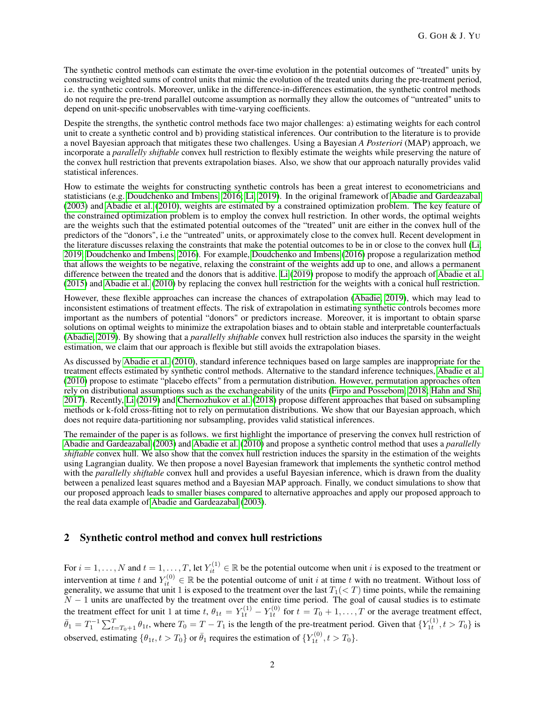The synthetic control methods can estimate the over-time evolution in the potential outcomes of "treated" units by constructing weighted sums of control units that mimic the evolution of the treated units during the pre-treatment period, i.e. the synthetic controls. Moreover, unlike in the difference-in-differences estimation, the synthetic control methods do not require the pre-trend parallel outcome assumption as normally they allow the outcomes of "untreated" units to depend on unit-specific unobservables with time-varying coefficients.

Despite the strengths, the synthetic control methods face two major challenges: a) estimating weights for each control unit to create a synthetic control and b) providing statistical inferences. Our contribution to the literature is to provide a novel Bayesian approach that mitigates these two challenges. Using a Bayesian *A Posteriori* (MAP) approach, we incorporate a *parallelly shiftable* convex hull restriction to flexibly estimate the weights while preserving the nature of the convex hull restriction that prevents extrapolation biases. Also, we show that our approach naturally provides valid statistical inferences.

How to estimate the weights for constructing synthetic controls has been a great interest to econometricians and statisticians (e.g. [Doudchenko and Imbens, 2016;](#page-11-9) [Li, 2019\)](#page-11-10). In the original framework of [Abadie and Gardeazabal](#page-11-0) [\(2003\)](#page-11-0) and [Abadie et al.](#page-11-6) [\(2010\)](#page-11-6), weights are estimated by a constrained optimization problem. The key feature of the constrained optimization problem is to employ the convex hull restriction. In other words, the optimal weights are the weights such that the estimated potential outcomes of the "treated" unit are either in the convex hull of the predictors of the "donors", i.e the "untreated" units, or approximately close to the convex hull. Recent development in the literature discusses relaxing the constraints that make the potential outcomes to be in or close to the convex hull [\(Li,](#page-11-10) [2019;](#page-11-10) [Doudchenko and Imbens, 2016\)](#page-11-9). For example, [Doudchenko and Imbens](#page-11-9) [\(2016\)](#page-11-9) propose a regularization method that allows the weights to be negative, relaxing the constraint of the weights add up to one, and allows a permanent difference between the treated and the donors that is additive. [Li](#page-11-10) [\(2019\)](#page-11-10) propose to modify the approach of [Abadie et al.](#page-11-8) [\(2015\)](#page-11-8) and [Abadie et al.](#page-11-6) [\(2010\)](#page-11-6) by replacing the convex hull restriction for the weights with a conical hull restriction.

However, these flexible approaches can increase the chances of extrapolation [\(Abadie, 2019\)](#page-11-7), which may lead to inconsistent estimations of treatment effects. The risk of extrapolation in estimating synthetic controls becomes more important as the numbers of potential "donors" or predictors increase. Moreover, it is important to obtain sparse solutions on optimal weights to minimize the extrapolation biases and to obtain stable and interpretable counterfactuals [\(Abadie, 2019\)](#page-11-7). By showing that a *parallelly shiftable* convex hull restriction also induces the sparsity in the weight estimation, we claim that our approach is flexible but still avoids the extrapolation biases.

As discussed by [Abadie et al.](#page-11-6) [\(2010\)](#page-11-6), standard inference techniques based on large samples are inappropriate for the treatment effects estimated by synthetic control methods. Alternative to the standard inference techniques, [Abadie et al.](#page-11-6) [\(2010\)](#page-11-6) propose to estimate "placebo effects" from a permutation distribution. However, permutation approaches often rely on distributional assumptions such as the exchangeability of the units [\(Firpo and Possebom, 2018;](#page-11-11) [Hahn and Shi,](#page-11-12) [2017\)](#page-11-12). Recently, [Li](#page-11-10) [\(2019\)](#page-11-10) and [Chernozhukov et al.](#page-11-13) [\(2018\)](#page-11-13) propose different approaches that based on subsampling methods or k-fold cross-fitting not to rely on permutation distributions. We show that our Bayesian approach, which does not require data-partitioning nor subsampling, provides valid statistical inferences.

The remainder of the paper is as follows. we first highlight the importance of preserving the convex hull restriction of [Abadie and Gardeazabal](#page-11-0) [\(2003\)](#page-11-0) and [Abadie et al.](#page-11-6) [\(2010\)](#page-11-6) and propose a synthetic control method that uses a *parallelly shiftable* convex hull. We also show that the convex hull restriction induces the sparsity in the estimation of the weights using Lagrangian duality. We then propose a novel Bayesian framework that implements the synthetic control method with the *parallelly shiftable* convex hull and provides a useful Bayesian inference, which is drawn from the duality between a penalized least squares method and a Bayesian MAP approach. Finally, we conduct simulations to show that our proposed approach leads to smaller biases compared to alternative approaches and apply our proposed approach to the real data example of [Abadie and Gardeazabal](#page-11-0) [\(2003\)](#page-11-0).

## 2 Synthetic control method and convex hull restrictions

For  $i = 1, ..., N$  and  $t = 1, ..., T$ , let  $Y_{it}^{(1)} \in \mathbb{R}$  be the potential outcome when unit i is exposed to the treatment or intervention at time t and  $Y_{it}^{(0)} \in \mathbb{R}$  be the potential outcome of unit i at time t with no treatment. Without loss of generality, we assume that unit 1 is exposed to the treatment over the last  $T_1(<sub>T</sub>)$  time points, while the remaining  $N-1$  units are unaffected by the treatment over the entire time period. The goal of causal studies is to estimate the treatment effect for unit 1 at time  $t$ ,  $\theta_{1t} = Y_{1t}^{(1)} - Y_{1t}^{(0)}$  for  $t = T_0 + 1, ..., T$  or the average treatment effect,  $\bar{\theta}_1 = T_1^{-1} \sum_{t=T_0+1}^T \theta_{1t}$ , where  $T_0 = T - T_1$  is the length of the pre-treatment period. Given that  $\{Y_{1t}^{(1)}, t > T_0\}$  is observed, estimating  $\{\theta_{1t}, t > T_0\}$  or  $\bar{\theta}_1$  requires the estimation of  $\{Y_{1t}^{(0)}, t > T_0\}$ .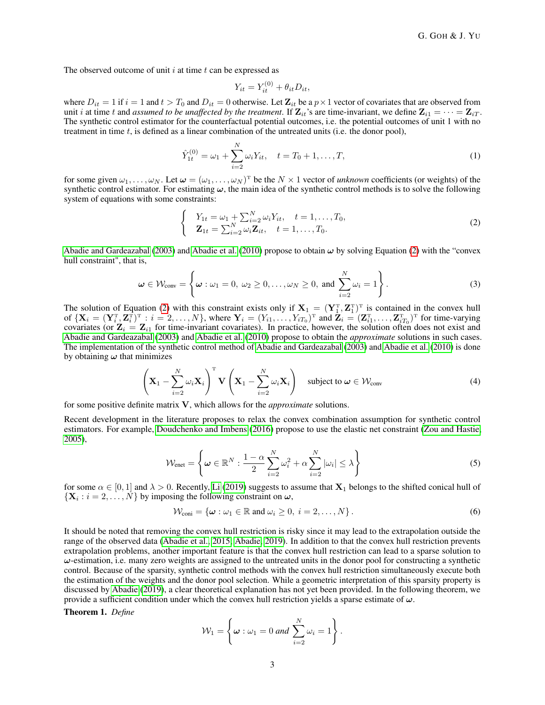The observed outcome of unit  $i$  at time  $t$  can be expressed as

$$
Y_{it} = Y_{it}^{(0)} + \theta_{it} D_{it},
$$

where  $D_{it} = 1$  if  $i = 1$  and  $t > T_0$  and  $D_{it} = 0$  otherwise. Let  $\mathbf{Z}_{it}$  be a  $p \times 1$  vector of covariates that are observed from unit *i* at time *t* and *assumed to be unaffected by the treatment*. If  $\mathbf{Z}_{it}$ 's are time-invariant, we define  $\mathbf{Z}_{i1} = \cdots = \mathbf{Z}_{iT}$ . The synthetic control estimator for the counterfactual potential outcomes, i.e. the potential outcomes of unit 1 with no treatment in time  $t$ , is defined as a linear combination of the untreated units (i.e. the donor pool),

$$
\hat{Y}_{1t}^{(0)} = \omega_1 + \sum_{i=2}^{N} \omega_i Y_{it}, \quad t = T_0 + 1, \dots, T,
$$
\n(1)

for some given  $\omega_1, \ldots, \omega_N$ . Let  $\omega = (\omega_1, \ldots, \omega_N)^T$  be the  $N \times 1$  vector of *unknown* coefficients (or weights) of the synthetic control estimator. For estimating  $\omega$ , the main idea of the synthetic control methods is to solve the following system of equations with some constraints:

<span id="page-2-0"></span>
$$
\begin{cases}\nY_{1t} = \omega_1 + \sum_{i=2}^{N} \omega_i Y_{it}, \quad t = 1, ..., T_0, \\
\mathbf{Z}_{1t} = \sum_{i=2}^{N} \omega_i \mathbf{Z}_{it}, \quad t = 1, ..., T_0.\n\end{cases}
$$
\n(2)

[Abadie and Gardeazabal](#page-11-0) [\(2003\)](#page-11-0) and [Abadie et al.](#page-11-6) [\(2010\)](#page-11-6) propose to obtain  $\omega$  by solving Equation [\(2\)](#page-2-0) with the "convex" hull constraint", that is,

<span id="page-2-3"></span>
$$
\boldsymbol{\omega} \in \mathcal{W}_{\text{conv}} = \left\{ \boldsymbol{\omega} : \omega_1 = 0, \ \omega_2 \ge 0, \dots, \omega_N \ge 0, \ \text{and} \ \sum_{i=2}^N \omega_i = 1 \right\}.
$$
 (3)

The solution of Equation [\(2\)](#page-2-0) with this constraint exists only if  $X_1 = (Y_1^T, Z_1^T)^T$  is contained in the convex hull of  $\{X_i = (\mathbf{Y}_{i_1}^T \mathbf{Z}_{i}^T)^T : i = 2, \dots, N\}$ , where  $\mathbf{Y}_i = (Y_{i_1}, \dots, Y_{i_{T_0}})^T$  and  $\mathbf{Z}_i = (\mathbf{Z}_{i_1}^T, \dots, \mathbf{Z}_{i_{T_0}}^T)^T$  for time-varying covariates (or  $\mathbf{Z}_i = \mathbf{Z}_{i1}$  for time-invariant covariates). In practice, however, the solution often does not exist and [Abadie and Gardeazabal](#page-11-0) [\(2003\)](#page-11-0) and [Abadie et al.](#page-11-6) [\(2010\)](#page-11-6) propose to obtain the *approximate* solutions in such cases. The implementation of the synthetic control method of [Abadie and Gardeazabal](#page-11-0) [\(2003\)](#page-11-0) and [Abadie et al.](#page-11-6) [\(2010\)](#page-11-6) is done by obtaining  $\omega$  that minimizes

<span id="page-2-1"></span>
$$
\left(\mathbf{X}_{1}-\sum_{i=2}^{N}\omega_{i}\mathbf{X}_{i}\right)^{T}\mathbf{V}\left(\mathbf{X}_{1}-\sum_{i=2}^{N}\omega_{i}\mathbf{X}_{i}\right) \text{ subject to } \boldsymbol{\omega} \in \mathcal{W}_{\text{conv}}
$$
\n(4)

for some positive definite matrix V, which allows for the *approximate* solutions.

Recent development in the literature proposes to relax the convex combination assumption for synthetic control estimators. For example, [Doudchenko and Imbens](#page-11-9) [\(2016\)](#page-11-9) propose to use the elastic net constraint [\(Zou and Hastie,](#page-12-0) [2005\)](#page-12-0),

<span id="page-2-4"></span>
$$
\mathcal{W}_{\text{enet}} = \left\{ \boldsymbol{\omega} \in \mathbb{R}^N : \frac{1 - \alpha}{2} \sum_{i=2}^N \omega_i^2 + \alpha \sum_{i=2}^N |\omega_i| \leq \lambda \right\}
$$
(5)

for some  $\alpha \in [0, 1]$  and  $\lambda > 0$ . Recently, [Li](#page-11-10) [\(2019\)](#page-11-10) suggests to assume that  $X_1$  belongs to the shifted conical hull of  $\{X_i : i = 2, ..., N\}$  by imposing the following constraint on  $\omega$ ,

<span id="page-2-5"></span>
$$
\mathcal{W}_{\text{coni}} = \{ \boldsymbol{\omega} : \omega_1 \in \mathbb{R} \text{ and } \omega_i \ge 0, \ i = 2, \dots, N \}.
$$
 (6)

It should be noted that removing the convex hull restriction is risky since it may lead to the extrapolation outside the range of the observed data [\(Abadie et al., 2015;](#page-11-8) [Abadie, 2019\)](#page-11-7). In addition to that the convex hull restriction prevents extrapolation problems, another important feature is that the convex hull restriction can lead to a sparse solution to  $\omega$ -estimation, i.e. many zero weights are assigned to the untreated units in the donor pool for constructing a synthetic control. Because of the sparsity, synthetic control methods with the convex hull restriction simultaneously execute both the estimation of the weights and the donor pool selection. While a geometric interpretation of this sparsity property is discussed by [Abadie](#page-11-7) [\(2019\)](#page-11-7), a clear theoretical explanation has not yet been provided. In the following theorem, we provide a sufficient condition under which the convex hull restriction yields a sparse estimate of  $\omega$ .

<span id="page-2-2"></span>Theorem 1. *Define*

$$
\mathcal{W}_1 = \left\{ \boldsymbol{\omega} : \omega_1 = 0 \text{ and } \sum_{i=2}^N \omega_i = 1 \right\}.
$$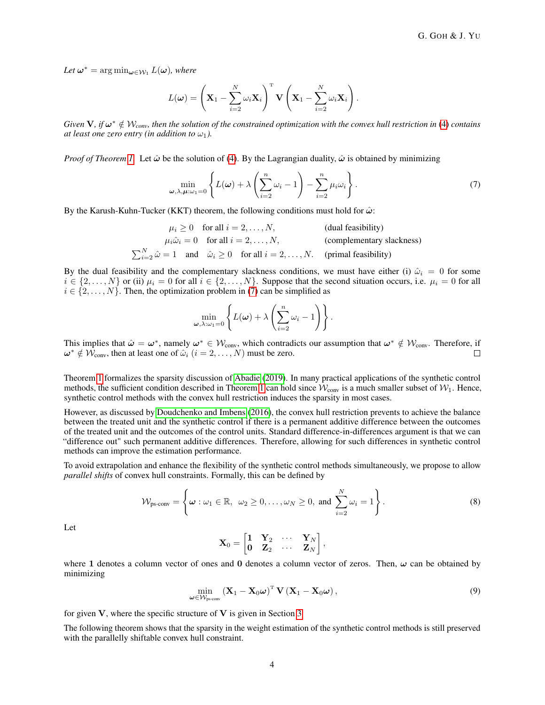Let  $\boldsymbol{\omega}^* = \arg \min_{\boldsymbol{\omega} \in \mathcal{W}_1} L(\boldsymbol{\omega})$ *, where* 

$$
L(\boldsymbol{\omega}) = \left(\mathbf{X}_1 - \sum_{i=2}^N \omega_i \mathbf{X}_i\right)^{\mathrm{T}} \mathbf{V} \left(\mathbf{X}_1 - \sum_{i=2}^N \omega_i \mathbf{X}_i\right).
$$

*Given* V, if  $\omega^* \notin W_{conv}$ , then the solution of the constrained optimization with the convex hull restriction in [\(4\)](#page-2-1) contains *at least one zero entry (in addition to*  $\omega_1$ ).

*Proof of Theorem [1.](#page-2-2)* Let  $\hat{\omega}$  be the solution of [\(4\)](#page-2-1). By the Lagrangian duality,  $\hat{\omega}$  is obtained by minimizing

<span id="page-3-0"></span>
$$
\min_{\boldsymbol{\omega}, \lambda, \boldsymbol{\mu} : \omega_1 = 0} \left\{ L(\boldsymbol{\omega}) + \lambda \left( \sum_{i=2}^n \omega_i - 1 \right) - \sum_{i=2}^n \mu_i \omega_i \right\}.
$$
 (7)

By the Karush-Kuhn-Tucker (KKT) theorem, the following conditions must hold for  $\hat{\omega}$ :

$$
\mu_i \ge 0 \quad \text{for all } i = 2, ..., N,
$$
 (dual feasibility)  
\n
$$
\mu_i \hat{\omega}_i = 0 \quad \text{for all } i = 2, ..., N,
$$
 (complementary slackness)  
\n
$$
\sum_{i=2}^{N} \hat{\omega} = 1 \quad \text{and} \quad \hat{\omega}_i \ge 0 \quad \text{for all } i = 2, ..., N.
$$
 (primal feasibility)

By the dual feasibility and the complementary slackness conditions, we must have either (i)  $\hat{\omega}_i = 0$  for some  $i \in \{2,\ldots,N\}$  or (ii)  $\mu_i = 0$  for all  $i \in \{2,\ldots,N\}$ . Suppose that the second situation occurs, i.e.  $\mu_i = 0$  for all  $i \in \{2, \ldots, N\}$ . Then, the optimization problem in [\(7\)](#page-3-0) can be simplified as

$$
\min_{\boldsymbol{\omega},\lambda:\omega_1=0}\left\{L(\boldsymbol{\omega})+\lambda\left(\sum_{i=2}^n\omega_i-1\right)\right\}.
$$

This implies that  $\hat{\omega} = \omega^*$ , namely  $\omega^* \in \mathcal{W}_{conv}$ , which contradicts our assumption that  $\omega^* \notin \mathcal{W}_{conv}$ . Therefore, if  $\omega^* \notin \mathcal{W}_{conv}$ , then at least one of  $\hat{\omega}_i$   $(i = 2, ..., N)$  must be zero.

Theorem [1](#page-2-2) formalizes the sparsity discussion of [Abadie](#page-11-7) [\(2019\)](#page-11-7). In many practical applications of the synthetic control methods, the sufficient condition described in Theorem [1](#page-2-2) can hold since  $\mathcal{W}_{\text{conv}}$  is a much smaller subset of  $\mathcal{W}_1$ . Hence, synthetic control methods with the convex hull restriction induces the sparsity in most cases.

However, as discussed by [Doudchenko and Imbens](#page-11-9) [\(2016\)](#page-11-9), the convex hull restriction prevents to achieve the balance between the treated unit and the synthetic control if there is a permanent additive difference between the outcomes of the treated unit and the outcomes of the control units. Standard difference-in-differences argument is that we can "difference out" such permanent additive differences. Therefore, allowing for such differences in synthetic control methods can improve the estimation performance.

To avoid extrapolation and enhance the flexibility of the synthetic control methods simultaneously, we propose to allow *parallel shifts* of convex hull constraints. Formally, this can be defined by

<span id="page-3-2"></span>
$$
\mathcal{W}_{\text{ps-conv}} = \left\{ \boldsymbol{\omega} : \omega_1 \in \mathbb{R}, \ \omega_2 \geq 0, \ldots, \omega_N \geq 0, \text{ and } \sum_{i=2}^N \omega_i = 1 \right\}.
$$
 (8)

Let

$$
\mathbf{X}_0 = \begin{bmatrix} \mathbf{1} & \mathbf{Y}_2 & \cdots & \mathbf{Y}_N \\ \mathbf{0} & \mathbf{Z}_2 & \cdots & \mathbf{Z}_N \end{bmatrix},
$$

where 1 denotes a column vector of ones and 0 denotes a column vector of zeros. Then,  $\omega$  can be obtained by minimizing

<span id="page-3-1"></span>
$$
\min_{\boldsymbol{\omega} \in \mathcal{W}_{\text{ps-conv}}} \left( \mathbf{X}_1 - \mathbf{X}_0 \boldsymbol{\omega} \right)^{\text{T}} \mathbf{V} \left( \mathbf{X}_1 - \mathbf{X}_0 \boldsymbol{\omega} \right), \tag{9}
$$

for given  $V$ , where the specific structure of  $V$  is given in Section [3.](#page-4-0)

The following theorem shows that the sparsity in the weight estimation of the synthetic control methods is still preserved with the parallelly shiftable convex hull constraint.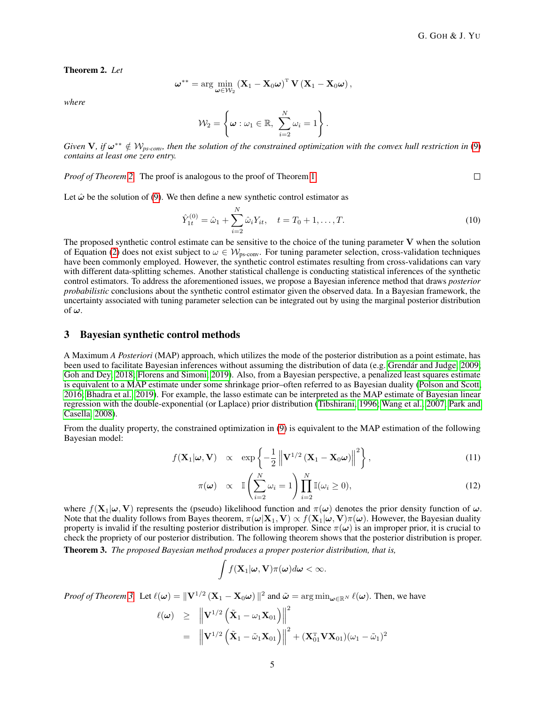<span id="page-4-1"></span>Theorem 2. *Let*

$$
\boldsymbol{\omega}^{**} = \arg\min_{\boldsymbol{\omega}\in\mathcal{W}_2}\left(\mathbf{X}_1-\mathbf{X}_0\boldsymbol{\omega}\right)^{\text{T}}\mathbf{V}\left(\mathbf{X}_1-\mathbf{X}_0\boldsymbol{\omega}\right),
$$

*where*

$$
\mathcal{W}_2 = \left\{ \boldsymbol{\omega} : \omega_1 \in \mathbb{R}, \ \sum_{i=2}^N \omega_i = 1 \right\}.
$$

*Given* V, if  $\omega^{**} \notin W_{ps-conv}$ , then the solution of the constrained optimization with the convex hull restriction in [\(9\)](#page-3-1) *contains at least one zero entry.*

*Proof of Theorem [2.](#page-4-1)* The proof is analogous to the proof of Theorem [1.](#page-2-2)

 $\Box$ 

Let  $\hat{\omega}$  be the solution of [\(9\)](#page-3-1). We then define a new synthetic control estimator as

$$
\hat{Y}_{1t}^{(0)} = \hat{\omega}_1 + \sum_{i=2}^{N} \hat{\omega}_i Y_{it}, \quad t = T_0 + 1, \dots, T.
$$
\n(10)

The proposed synthetic control estimate can be sensitive to the choice of the tuning parameter  $V$  when the solution of Equation [\(2\)](#page-2-0) does not exist subject to  $\omega \in W_{ps-conv}$ . For tuning parameter selection, cross-validation techniques have been commonly employed. However, the synthetic control estimates resulting from cross-validations can vary with different data-splitting schemes. Another statistical challenge is conducting statistical inferences of the synthetic control estimators. To address the aforementioned issues, we propose a Bayesian inference method that draws *posterior probabilistic* conclusions about the synthetic control estimator given the observed data. In a Bayesian framework, the uncertainty associated with tuning parameter selection can be integrated out by using the marginal posterior distribution of  $\omega$ .

#### <span id="page-4-0"></span>3 Bayesian synthetic control methods

A Maximum *A Posteriori* (MAP) approach, which utilizes the mode of the posterior distribution as a point estimate, has been used to facilitate Bayesian inferences without assuming the distribution of data (e.g. [Grendár and Judge, 2009;](#page-11-14) [Goh and Dey, 2018;](#page-11-15) [Florens and Simoni, 2019\)](#page-11-16). Also, from a Bayesian perspective, a penalized least squares estimate is equivalent to a MAP estimate under some shrinkage prior–often referred to as Bayesian duality [\(Polson and Scott,](#page-11-17) [2016;](#page-11-17) [Bhadra et al., 2019\)](#page-11-18). For example, the lasso estimate can be interpreted as the MAP estimate of Bayesian linear regression with the double-exponential (or Laplace) prior distribution [\(Tibshirani, 1996;](#page-11-19) [Wang et al., 2007;](#page-11-20) [Park and](#page-11-21) [Casella, 2008\)](#page-11-21).

From the duality property, the constrained optimization in [\(9\)](#page-3-1) is equivalent to the MAP estimation of the following Bayesian model:

$$
f(\mathbf{X}_1|\boldsymbol{\omega}, \mathbf{V}) \propto \exp\left\{-\frac{1}{2} \left\| \mathbf{V}^{1/2} (\mathbf{X}_1 - \mathbf{X}_0 \boldsymbol{\omega}) \right\|^2 \right\},
$$
 (11)

$$
\pi(\omega) \propto \mathbb{I}\left(\sum_{i=2}^{N} \omega_i = 1\right) \prod_{i=2}^{N} \mathbb{I}(\omega_i \ge 0),\tag{12}
$$

where  $f(\mathbf{X}_1|\boldsymbol{\omega}, \mathbf{V})$  represents the (pseudo) likelihood function and  $\pi(\boldsymbol{\omega})$  denotes the prior density function of  $\boldsymbol{\omega}$ . Note that the duality follows from Bayes theorem,  $\pi(\omega|\mathbf{X}_1, \mathbf{V}) \propto f(\mathbf{X}_1|\omega, \mathbf{V})\pi(\omega)$ . However, the Bayesian duality property is invalid if the resulting posterior distribution is improper. Since  $\pi(\omega)$  is an improper prior, it is crucial to check the propriety of our posterior distribution. The following theorem shows that the posterior distribution is proper.

<span id="page-4-2"></span>Theorem 3. *The proposed Bayesian method produces a proper posterior distribution, that is,*

$$
\int f(\mathbf{X}_1|\boldsymbol{\omega}, \mathbf{V}) \pi(\boldsymbol{\omega}) d\boldsymbol{\omega} < \infty.
$$

*Proof of Theorem [3.](#page-4-2)* Let  $\ell(\omega) = ||V^{1/2} (X_1 - X_0 \omega) ||^2$  and  $\tilde{\omega} = \arg \min_{\omega \in \mathbb{R}^N} \ell(\omega)$ . Then, we have

$$
\ell(\boldsymbol{\omega}) \geq \left\| \mathbf{V}^{1/2} \left( \tilde{\mathbf{X}}_1 - \omega_1 \mathbf{X}_{01} \right) \right\|^2
$$
  
= 
$$
\left\| \mathbf{V}^{1/2} \left( \tilde{\mathbf{X}}_1 - \tilde{\omega}_1 \mathbf{X}_{01} \right) \right\|^2 + \left( \mathbf{X}_{01}^{\mathrm{T}} \mathbf{V} \mathbf{X}_{01} \right) (\omega_1 - \tilde{\omega}_1)^2
$$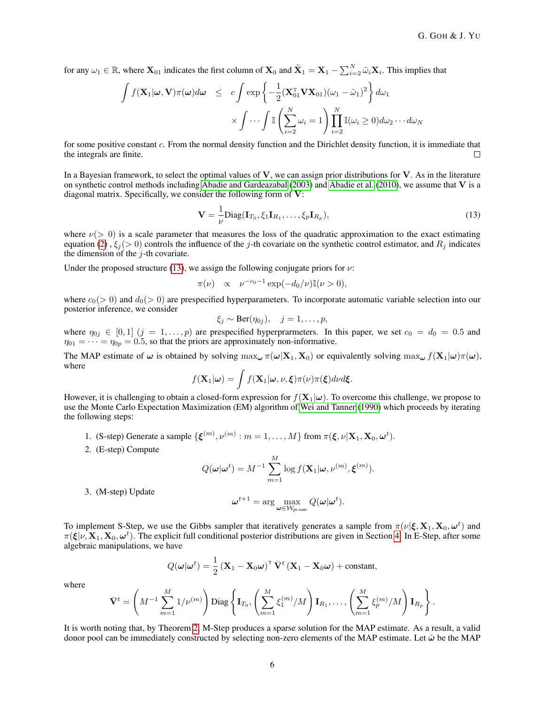for any  $\omega_1 \in \mathbb{R}$ , where  $\mathbf{X}_{01}$  indicates the first column of  $\mathbf{X}_0$  and  $\tilde{\mathbf{X}}_1 = \mathbf{X}_1 - \sum_{i=2}^N \tilde{\omega}_i \mathbf{X}_i$ . This implies that

$$
\int f(\mathbf{X}_1|\boldsymbol{\omega}, \mathbf{V})\pi(\boldsymbol{\omega})d\boldsymbol{\omega} \le c \int \exp\left\{-\frac{1}{2}(\mathbf{X}_{01}^{\mathrm{T}}\mathbf{V}\mathbf{X}_{01})(\omega_1 - \tilde{\omega}_1)^2\right\} d\omega_1
$$

$$
\times \int \cdots \int \mathbb{I}\left(\sum_{i=2}^N \omega_i = 1\right) \prod_{i=2}^N \mathbb{I}(\omega_i \ge 0) d\omega_2 \cdots d\omega_N
$$

for some positive constant c. From the normal density function and the Dirichlet density function, it is immediate that the integrals are finite.  $\Box$ 

In a Bayesian framework, to select the optimal values of V, we can assign prior distributions for V. As in the literature on synthetic control methods including [Abadie and Gardeazabal](#page-11-0) [\(2003\)](#page-11-0) and [Abadie et al.](#page-11-6) [\(2010\)](#page-11-6), we assume that V is a diagonal matrix. Specifically, we consider the following form of V:

<span id="page-5-0"></span>
$$
\mathbf{V} = \frac{1}{\nu} \text{Diag}(\mathbf{I}_{T_0}, \xi_1 \mathbf{I}_{R_1}, \dots, \xi_p \mathbf{I}_{R_p}),
$$
\n(13)

where  $\nu(> 0)$  is a scale parameter that measures the loss of the quadratic approximation to the exact estimating equation [\(2\)](#page-2-0),  $\xi_j$  (> 0) controls the influence of the j-th covariate on the synthetic control estimator, and  $R_j$  indicates the dimension of the  $j$ -th covariate.

Under the proposed structure [\(13\)](#page-5-0), we assign the following conjugate priors for  $\nu$ :

$$
\pi(\nu) \quad \propto \quad \nu^{-c_0 - 1} \exp(-d_0/\nu) \mathbb{I}(\nu > 0),
$$

where  $c_0(> 0)$  and  $d_0(> 0)$  are prespecified hyperparameters. To incorporate automatic variable selection into our posterior inference, we consider

$$
\xi_j \sim \text{Ber}(\eta_{0j}), \quad j = 1, \dots, p,
$$

where  $\eta_{0j} \in [0,1]$   $(j = 1,...,p)$  are prespecified hyperprarmeters. In this paper, we set  $c_0 = d_0 = 0.5$  and  $\eta_{01} = \cdots = \eta_{0p} = 0.5$ , so that the priors are approximately non-informative.

The MAP estimate of  $\omega$  is obtained by solving max<sub>ω</sub>  $\pi(\omega|\mathbf{X}_1, \mathbf{X}_0)$  or equivalently solving max<sub>ω</sub>  $f(\mathbf{X}_1|\omega)\pi(\omega)$ , where

$$
f(\mathbf{X}_1|\boldsymbol{\omega}) = \int f(\mathbf{X}_1|\boldsymbol{\omega}, \nu, \boldsymbol{\xi}) \pi(\nu) \pi(\boldsymbol{\xi}) d\nu d\boldsymbol{\xi}.
$$

However, it is challenging to obtain a closed-form expression for  $f(\mathbf{X}_1|\omega)$ . To overcome this challenge, we propose to use the Monte Carlo Expectation Maximization (EM) algorithm of [Wei and Tanner](#page-12-1) [\(1990\)](#page-12-1) which proceeds by iterating the following steps:

- 1. (S-step) Generate a sample  $\{\boldsymbol{\xi}^{(m)}, \nu^{(m)} : m = 1, \dots, M\}$  from  $\pi(\boldsymbol{\xi}, \nu | \mathbf{X}_1, \mathbf{X}_0, \boldsymbol{\omega}^t)$ .
- 2. (E-step) Compute

$$
Q(\boldsymbol{\omega}|\boldsymbol{\omega}^{t}) = M^{-1} \sum_{m=1}^{M} \log f(\mathbf{X}_{1}|\boldsymbol{\omega}, \nu^{(m)}, \boldsymbol{\xi}^{(m)}).
$$

3. (M-step) Update

$$
\boldsymbol{\omega}^{t+1} = \arg \max_{\boldsymbol{\omega} \in \mathcal{W}_{\text{ps-conv}}} Q(\boldsymbol{\omega}|\boldsymbol{\omega}^t).
$$

To implement S-Step, we use the Gibbs sampler that iteratively generates a sample from  $\pi(\nu|\xi, \mathbf{X}_1, \mathbf{X}_0, \boldsymbol{\omega}^t)$  and  $\pi(\xi|\nu, \mathbf{X}_1, \mathbf{X}_0, \omega^t)$ . The explicit full conditional posterior distributions are given in Section [4.](#page-6-0) In E-Step, after some algebraic manipulations, we have

$$
Q(\boldsymbol{\omega}|\boldsymbol{\omega}^{t}) = \frac{1}{2} (\mathbf{X}_1 - \mathbf{X}_0 \boldsymbol{\omega})^{\mathrm{T}} \bar{\mathbf{V}}^{t} (\mathbf{X}_1 - \mathbf{X}_0 \boldsymbol{\omega}) + \text{constant},
$$

where

$$
\bar{\mathbf{V}}^{t} = \left( M^{-1} \sum_{m=1}^{M} 1/\nu^{(m)} \right) \text{Diag}\left\{ \mathbf{I}_{T_0}, \left( \sum_{m=1}^{M} \xi_1^{(m)}/M \right) \mathbf{I}_{R_1}, \dots, \left( \sum_{m=1}^{M} \xi_p^{(m)}/M \right) \mathbf{I}_{R_p} \right\}.
$$

It is worth noting that, by Theorem [2,](#page-4-1) M-Step produces a sparse solution for the MAP estimate. As a result, a valid donor pool can be immediately constructed by selecting non-zero elements of the MAP estimate. Let  $\hat{\omega}$  be the MAP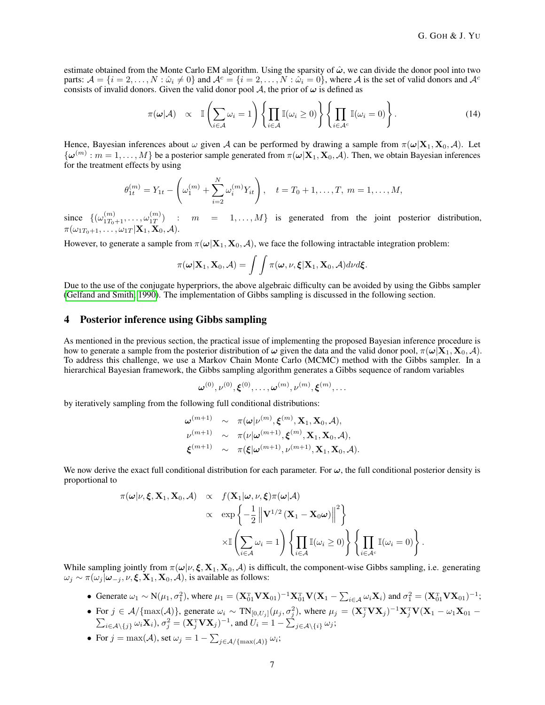estimate obtained from the Monte Carlo EM algorithm. Using the sparsity of  $\hat{\omega}$ , we can divide the donor pool into two parts:  $\mathcal{A} = \{i = 2, \ldots, N : \hat{\omega}_i \neq 0\}$  and  $\mathcal{A}^c = \{i = 2, \ldots, N : \hat{\omega}_i = 0\}$ , where A is the set of valid donors and  $\mathcal{A}^c$ consists of invalid donors. Given the valid donor pool A, the prior of  $\omega$  is defined as

$$
\pi(\boldsymbol{\omega}|\mathcal{A}) \quad \propto \quad \mathbb{I}\left(\sum_{i\in\mathcal{A}}\omega_i=1\right)\left\{\prod_{i\in\mathcal{A}}\mathbb{I}(\omega_i\geq 0)\right\}\left\{\prod_{i\in\mathcal{A}^c}\mathbb{I}(\omega_i=0)\right\}.
$$
\n(14)

Hence, Bayesian inferences about  $\omega$  given A can be performed by drawing a sample from  $\pi(\omega|\mathbf{X}_1, \mathbf{X}_0, \mathcal{A})$ . Let  $\{\omega^{(m)}: m=1,\ldots,M\}$  be a posterior sample generated from  $\pi(\omega|\mathbf{X}_1,\mathbf{X}_0,\mathcal{A})$ . Then, we obtain Bayesian inferences for the treatment effects by using

$$
\theta_{1t}^{(m)} = Y_{1t} - \left(\omega_1^{(m)} + \sum_{i=2}^N \omega_i^{(m)} Y_{it}\right), \quad t = T_0 + 1, \dots, T, \ m = 1, \dots, M,
$$

since  $\{(\omega_{1T_0+1}^{(m)}, \ldots, \omega_{1T}^{(m)})\}$  $\binom{m}{1T}$  :  $m = 1, \ldots, M$  is generated from the joint posterior distribution,  $\pi(\omega_{1T_0+1},\ldots,\omega_{1T}|\mathbf{X}_1,\mathbf{X}_0,\mathcal{A}).$ 

However, to generate a sample from  $\pi(\omega|\mathbf{X}_1, \mathbf{X}_0, \mathcal{A})$ , we face the following intractable integration problem:

$$
\pi(\boldsymbol{\omega}|\mathbf{X}_1,\mathbf{X}_0,\mathcal{A})=\int\int\pi(\boldsymbol{\omega},\nu,\boldsymbol{\xi}|\mathbf{X}_1,\mathbf{X}_0,\mathcal{A})d\nu d\boldsymbol{\xi}.
$$

Due to the use of the conjugate hyperpriors, the above algebraic difficulty can be avoided by using the Gibbs sampler [\(Gelfand and Smith, 1990\)](#page-11-22). The implementation of Gibbs sampling is discussed in the following section.

#### <span id="page-6-0"></span>4 Posterior inference using Gibbs sampling

As mentioned in the previous section, the practical issue of implementing the proposed Bayesian inference procedure is how to generate a sample from the posterior distribution of  $\omega$  given the data and the valid donor pool,  $\pi(\omega|\mathbf{X}_1, \mathbf{X}_0, \mathcal{A})$ . To address this challenge, we use a Markov Chain Monte Carlo (MCMC) method with the Gibbs sampler. In a hierarchical Bayesian framework, the Gibbs sampling algorithm generates a Gibbs sequence of random variables

$$
\pmb{\omega}^{(0)}, \nu^{(0)}, \pmb{\xi}^{(0)}, \ldots, \pmb{\omega}^{(m)}, \nu^{(m)}, \pmb{\xi}^{(m)}, \ldots
$$

by iteratively sampling from the following full conditional distributions:

$$
\begin{array}{rcl}\boldsymbol{\omega}^{(m+1)} & \sim & \pi(\boldsymbol{\omega}|\nu^{(m)}, \boldsymbol{\xi}^{(m)}, \mathbf{X}_1, \mathbf{X}_0, \mathcal{A}), \\
\nu^{(m+1)} & \sim & \pi(\nu|\boldsymbol{\omega}^{(m+1)}, \boldsymbol{\xi}^{(m)}, \mathbf{X}_1, \mathbf{X}_0, \mathcal{A}), \\
\boldsymbol{\xi}^{(m+1)} & \sim & \pi(\boldsymbol{\xi}|\boldsymbol{\omega}^{(m+1)}, \nu^{(m+1)}, \mathbf{X}_1, \mathbf{X}_0, \mathcal{A}).\n\end{array}
$$

We now derive the exact full conditional distribution for each parameter. For  $\omega$ , the full conditional posterior density is proportional to

$$
\pi(\omega|\nu, \xi, \mathbf{X}_1, \mathbf{X}_0, \mathcal{A}) \propto f(\mathbf{X}_1|\omega, \nu, \xi) \pi(\omega|\mathcal{A})
$$
\n
$$
\propto \exp\left\{-\frac{1}{2} \left\| \mathbf{V}^{1/2} \left( \mathbf{X}_1 - \mathbf{X}_0 \omega \right) \right\|^2 \right\}
$$
\n
$$
\times \mathbb{I} \left( \sum_{i \in \mathcal{A}} \omega_i = 1 \right) \left\{ \prod_{i \in \mathcal{A}} \mathbb{I}(\omega_i \ge 0) \right\} \left\{ \prod_{i \in \mathcal{A}} \mathbb{I}(\omega_i = 0) \right\}.
$$

While sampling jointly from  $\pi(\omega|\nu, \xi, X_1, X_0, \mathcal{A})$  is difficult, the component-wise Gibbs sampling, i.e. generating  $\omega_i \sim \pi(\omega_i | \omega_{-i}, \nu, \xi, \mathbf{X}_1, \mathbf{X}_0, \mathcal{A})$ , is available as follows:

- Generate  $\omega_1 \sim N(\mu_1, \sigma_1^2)$ , where  $\mu_1 = (\mathbf{X}_{01}^T \mathbf{V} \mathbf{X}_{01})^{-1} \mathbf{X}_{01}^T \mathbf{V} (\mathbf{X}_1 \sum_{i \in \mathcal{A}} \omega_i \mathbf{X}_i)$  and  $\sigma_1^2 = (\mathbf{X}_{01}^T \mathbf{V} \mathbf{X}_{01})^{-1}$ ;
- For  $j \in \mathcal{A}/\{\max(\mathcal{A})\}\$ , generate  $\omega_i \sim \text{TN}_{[0,U_j]}(\mu_j, \sigma_j^2)$ , where  $\mu_j = (\mathbf{X}_j^T \mathbf{V} \mathbf{X}_j)^{-1} \mathbf{X}_j^T \mathbf{V} (\mathbf{X}_1 \omega_1 \mathbf{X}_{01} \mathbf{X}_{j1})$  $\sum_{i\in\mathcal{A}\backslash\{j\}}\omega_i\mathbf{X}_i$ ),  $\sigma_j^2 = (\mathbf{X}_j^{\mathrm{T}}\mathbf{V}\mathbf{X}_j)^{-1}$ , and  $U_i = 1 - \sum_{j\in\mathcal{A}\backslash\{i\}}\omega_j$ ;
- For  $j = \max(\mathcal{A})$ , set  $\omega_j = 1 \sum_{j \in \mathcal{A}/\{\max(\mathcal{A})\}} \omega_i$ ;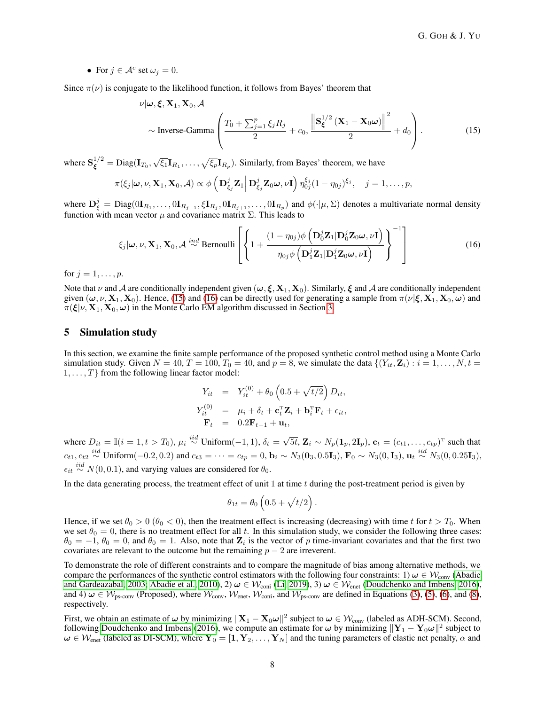• For  $j \in \mathcal{A}^c$  set  $\omega_j = 0$ .

Since  $\pi(\nu)$  is conjugate to the likelihood function, it follows from Bayes' theorem that

<span id="page-7-0"></span>
$$
\nu | \boldsymbol{\omega}, \boldsymbol{\xi}, \mathbf{X}_1, \mathbf{X}_0, \mathcal{A}
$$
  
 
$$
\sim \text{Inverse-Gamma}\left(\frac{T_0 + \sum_{j=1}^p \xi_j R_j}{2} + c_0, \frac{\left\| \mathbf{S}_{\boldsymbol{\xi}}^{1/2} \left( \mathbf{X}_1 - \mathbf{X}_0 \boldsymbol{\omega} \right) \right\|^2}{2} + d_0\right).
$$
 (15)

where  $S_{\xi}^{1/2} = \text{Diag}(\mathbf{I}_{T_0}, \sqrt{\xi_1} \mathbf{I}_{R_1}, \dots, \sqrt{\xi_p} \mathbf{I}_{R_p})$ . Similarly, from Bayes' theorem, we have

$$
\pi(\xi_j|\boldsymbol{\omega},\nu,\mathbf{X}_1,\mathbf{X}_0,\mathcal{A})\propto\phi\left(\mathbf{D}_{\xi_j}^j\mathbf{Z}_1\bigg|\mathbf{D}_{\xi_j}^j\mathbf{Z}_0\boldsymbol{\omega},\nu\mathbf{I}\right)\eta_{0j}^{\xi_j}(1-\eta_{0j})^{\xi_j},\quad j=1,\ldots,p,
$$

where  $\mathbf{D}_{\xi}^{j} = \text{Diag}(\mathbf{0}\mathbf{I}_{R_1},\ldots,\mathbf{0}\mathbf{I}_{R_{j-1}},\xi\mathbf{I}_{R_j},\mathbf{0}\mathbf{I}_{R_{j+1}},\ldots,\mathbf{0}\mathbf{I}_{R_p})$  and  $\phi(\cdot|\mu,\Sigma)$  denotes a multivariate normal density function with mean vector  $\mu$  and covariance matrix  $\Sigma$ . This leads to

<span id="page-7-1"></span>
$$
\xi_j|\boldsymbol{\omega}, \nu, \mathbf{X}_1, \mathbf{X}_0, \mathcal{A} \stackrel{ind}{\sim} \text{Bernoulli}\left[\left\{1 + \frac{(1 - \eta_{0j})\phi\left(\mathbf{D}_0^j \mathbf{Z}_1 | \mathbf{D}_0^j \mathbf{Z}_0 \boldsymbol{\omega}, \nu \mathbf{I}\right)}{\eta_{0j}\phi\left(\mathbf{D}_1^j \mathbf{Z}_1 | \mathbf{D}_1^j \mathbf{Z}_0 \boldsymbol{\omega}, \nu \mathbf{I}\right)}\right\}^{-1}\right]
$$
(16)

for  $j = 1, \ldots, p$ .

Note that  $\nu$  and A are conditionally independent given  $(\omega, \xi, X_1, X_0)$ . Similarly,  $\xi$  and A are conditionally independent given  $(\omega, \nu, \mathbf{X}_1, \mathbf{X}_0)$ . Hence, [\(15\)](#page-7-0) and [\(16\)](#page-7-1) can be directly used for generating a sample from  $\pi(\nu|\xi, \mathbf{X}_1, \mathbf{X}_0, \omega)$  and  $\pi(\xi|\nu, \mathbf{X}_1, \mathbf{X}_0, \omega)$  in the Monte Carlo EM algorithm discussed in Section [3.](#page-4-0)

#### 5 Simulation study

In this section, we examine the finite sample performance of the proposed synthetic control method using a Monte Carlo simulation study. Given  $N = 40$ ,  $T = 100$ ,  $T_0 = 40$ , and  $p = 8$ , we simulate the data  $\{ (Y_{it}, \mathbf{Z}_i) : i = 1, \ldots, N, t = 1, \ldots, N \}$  $1, \ldots, T$  from the following linear factor model:

$$
Y_{it} = Y_{it}^{(0)} + \theta_0 \left( 0.5 + \sqrt{t/2} \right) D_{it},
$$
  
\n
$$
Y_{it}^{(0)} = \mu_i + \delta_t + \mathbf{c}_t^{\mathrm{T}} \mathbf{Z}_i + \mathbf{b}_i^{\mathrm{T}} \mathbf{F}_t + \epsilon_{it},
$$
  
\n
$$
\mathbf{F}_t = 0.2 \mathbf{F}_{t-1} + \mathbf{u}_t,
$$

where  $D_{it} = \mathbb{I}(i = 1, t > T_0)$ ,  $\mu_i \stackrel{iid}{\sim}$  Uniform $(-1, 1)$ ,  $\delta_t = \sqrt{\frac{\mu_i}{\sigma_i}}$  $5t, \mathbf{Z}_i \sim N_p(\mathbf{1}_p, 2\mathbf{I}_p), \mathbf{c}_t = (c_{t1}, \dots, c_{tp})^{\mathrm{T}}$  such that  $c_{t1}, c_{t2} \stackrel{iid}{\sim}$  Uniform(-0.2, 0.2) and  $c_{t3} = \cdots = c_{tp} = 0$ ,  $\mathbf{b}_i \sim N_3(\mathbf{0}_3, 0.5\mathbf{I}_3)$ ,  $\mathbf{F}_0 \sim N_3(0, \mathbf{I}_3)$ ,  $\mathbf{u}_t \stackrel{iid}{\sim} N_3(0, 0.25\mathbf{I}_3)$ ,  $\epsilon_{it} \stackrel{iid}{\sim} N(0, 0.1)$ , and varying values are considered for  $\theta_0$ .

In the data generating process, the treatment effect of unit 1 at time  $t$  during the post-treatment period is given by

$$
\theta_{1t} = \theta_0 \left( 0.5 + \sqrt{t/2} \right).
$$

Hence, if we set  $\theta_0 > 0$  ( $\theta_0 < 0$ ), then the treatment effect is increasing (decreasing) with time t for  $t > T_0$ . When we set  $\theta_0 = 0$ , there is no treatment effect for all t. In this simulation study, we consider the following three cases:  $\theta_0 = -1$ ,  $\theta_0 = 0$ , and  $\theta_0 = 1$ . Also, note that  $\mathbb{Z}_i$  is the vector of p time-invariant covariates and that the first two covariates are relevant to the outcome but the remaining  $p - 2$  are irreverent.

To demonstrate the role of different constraints and to compare the magnitude of bias among alternative methods, we compare the performances of the synthetic control estimators with the following four constraints: 1)  $\omega \in \mathcal{W}_{\text{conv}}$  [\(Abadie](#page-11-0) [and Gardeazabal, 2003;](#page-11-0) [Abadie et al., 2010\)](#page-11-6), 2)  $\omega \in \mathcal{W}_{\text{coni}}$  [\(Li, 2019\)](#page-11-10), 3)  $\omega \in \mathcal{W}_{\text{enet}}$  [\(Doudchenko and Imbens, 2016\)](#page-11-9), and 4)  $\omega \in \mathcal{W}_{\text{p}s\text{-conv}}$  (Proposed), where  $\mathcal{W}_{\text{conv}}$ ,  $\mathcal{W}_{\text{enet}}$ ,  $\mathcal{W}_{\text{coni}}$ , and  $\mathcal{W}_{\text{p}s\text{-conv}}$  are defined in Equations [\(3\)](#page-2-3), [\(5\)](#page-2-4), [\(6\)](#page-2-5), and [\(8\)](#page-3-2), respectively.

First, we obtain an estimate of  $\omega$  by minimizing  $\|\mathbf{X}_1 - \mathbf{X}_0 \omega\|^2$  subject to  $\omega \in \mathcal{W}_{\text{conv}}$  (labeled as ADH-SCM). Second, following [Doudchenko and Imbens](#page-11-9) [\(2016\)](#page-11-9), we compute an estimate for  $\omega$  by minimizing  $\|\mathbf{Y}_1 - \mathbf{Y}_0\omega\|^2$  subject to  $\omega \in \mathcal{W}_{\text{enet}}$  (labeled as DI-SCM), where  $\mathbf{Y}_0 = \begin{bmatrix} 1, Y_2, \dots, Y_N \end{bmatrix}$  and the tuning parameters of elastic net penalty,  $\alpha$  and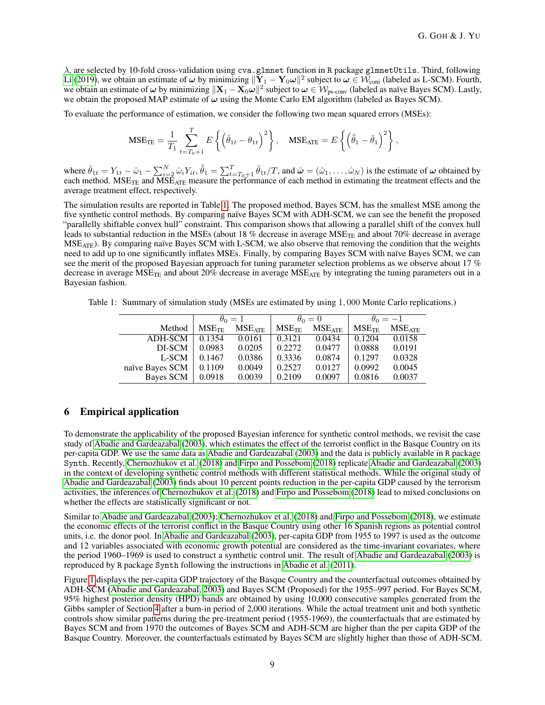$\lambda$ , are selected by 10-fold cross-validation using cva.glmnet function in R package glmnetUtils. Third, following [Li](#page-11-10) [\(2019\)](#page-11-10), we obtain an estimate of  $\omega$  by minimizing  $\|\mathbf{Y}_1 - \mathbf{Y}_0 \omega\|^2$  subject to  $\omega \in \mathcal{W}_{\text{coni}}$  (labeled as L-SCM). Fourth, we obtain an estimate of  $\omega$  by minimizing  $\|\mathbf{X}_1 - \mathbf{X}_0\omega\|^2$  subject to  $\omega \in \mathcal{W}_{\text{ps-conv}}$  (labeled as naïve Bayes SCM). Lastly, we obtain the proposed MAP estimate of  $\omega$  using the Monte Carlo EM algorithm (labeled as Bayes SCM).

To evaluate the performance of estimation, we consider the following two mean squared errors (MSEs):

$$
\text{MSE}_{\text{TE}} = \frac{1}{T_1} \sum_{t=T_0+1}^{T} E\left\{ \left( \hat{\theta}_{1t} - \theta_{1t} \right)^2 \right\}, \quad \text{MSE}_{\text{ATE}} = E\left\{ \left( \hat{\theta}_1 - \bar{\theta}_1 \right)^2 \right\},
$$

where  $\hat{\theta}_{1t} = Y_{1t} - \hat{\omega}_1 - \sum_{i=2}^{N} \hat{\omega}_i Y_{it}, \hat{\theta}_1 = \sum_{t=T_0+1}^{T} \hat{\theta}_{1t}/T$ , and  $\hat{\omega} = (\hat{\omega}_1, \dots, \hat{\omega}_N)$  is the estimate of  $\omega$  obtained by each method.  $MSE_{TE}$  and  $MSE_{ATE}$  measure the performance of each method in estimating the treatment effects and the average treatment effect, respectively.

The simulation results are reported in Table [1.](#page-8-0) The proposed method, Bayes SCM, has the smallest MSE among the five synthetic control methods. By comparing naïve Bayes SCM with ADH-SCM, we can see the benefit the proposed "parallelly shiftable convex hull" constraint. This comparison shows that allowing a parallel shift of the convex hull leads to substantial reduction in the MSEs (about 18 % decrease in average  $MSE_{TE}$  and about 70% decrease in average MSEATE). By comparing naïve Bayes SCM with L-SCM, we also observe that removing the condition that the weights need to add up to one significantly inflates MSEs. Finally, by comparing Bayes SCM with naïve Bayes SCM, we can see the merit of the proposed Bayesian approach for tuning parameter selection problems as we observe about 17 % decrease in average  $MSE_{TE}$  and about 20% decrease in average  $MSE_{ATE}$  by integrating the tuning parameters out in a Bayesian fashion.

Table 1: Summary of simulation study (MSEs are estimated by using 1, 000 Monte Carlo replications.)

<span id="page-8-0"></span>

|                 | $\theta_0=1$        |             | $\theta_0=0$ |             | $\theta_0 = -1$ |                    |
|-----------------|---------------------|-------------|--------------|-------------|-----------------|--------------------|
| Method          | $MSE$ <sub>TF</sub> | $MSE_{ATE}$ | $MSE$ TF     | $MSE_{ATE}$ | $MSE$ TF        | $MSE_{\text{ATE}}$ |
| ADH-SCM         | 0.1354              | 0.0161      | 0.3121       | 0.0434      | 0.1204          | 0.0158             |
| DI-SCM          | 0.0983              | 0.0205      | 0.2272       | 0.0477      | 0.0888          | 0.0191             |
| L-SCM           | 0.1467              | 0.0386      | 0.3336       | 0.0874      | 0.1297          | 0.0328             |
| naïve Bayes SCM | 0.1109              | 0.0049      | 0.2527       | 0.0127      | 0.0992          | 0.0045             |
| Bayes SCM       | 0.0918              | 0.0039      | 0.2109       | 0.0097      | 0.0816          | 0.0037             |

### 6 Empirical application

To demonstrate the applicability of the proposed Bayesian inference for synthetic control methods, we revisit the case study of [Abadie and Gardeazabal](#page-11-0) [\(2003\)](#page-11-0), which estimates the effect of the terrorist conflict in the Basque Country on its per-capita GDP. We use the same data as [Abadie and Gardeazabal](#page-11-0) [\(2003\)](#page-11-0) and the data is publicly available in R package Synth. Recently, [Chernozhukov et al.](#page-11-13) [\(2018\)](#page-11-13) and [Firpo and Possebom](#page-11-11) [\(2018\)](#page-11-11) replicate [Abadie and Gardeazabal](#page-11-0) [\(2003\)](#page-11-0) in the context of developing synthetic control methods with different statistical methods. While the original study of [Abadie and Gardeazabal](#page-11-0) [\(2003\)](#page-11-0) finds about 10 percent points reduction in the per-capita GDP caused by the terrorism activities, the inferences of [Chernozhukov et al.](#page-11-13) [\(2018\)](#page-11-13) and [Firpo and Possebom](#page-11-11) [\(2018\)](#page-11-11) lead to mixed conclusions on whether the effects are statistically significant or not.

Similar to [Abadie and Gardeazabal](#page-11-0) [\(2003\)](#page-11-0); [Chernozhukov et al.](#page-11-13) [\(2018\)](#page-11-13) and [Firpo and Possebom](#page-11-11) [\(2018\)](#page-11-11), we estimate the economic effects of the terrorist conflict in the Basque Country using other 16 Spanish regions as potential control units, i.e. the donor pool. In [Abadie and Gardeazabal](#page-11-0) [\(2003\)](#page-11-0), per-capita GDP from 1955 to 1997 is used as the outcome and 12 variables associated with economic growth potential are considered as the time-invariant covariates, where the period 1960–1969 is used to construct a synthetic control unit. The result of [Abadie and Gardeazabal](#page-11-0) [\(2003\)](#page-11-0) is reproduced by R package Synth following the instructions in [Abadie et al.](#page-11-23) [\(2011\)](#page-11-23).

Figure [1](#page-9-0) displays the per-capita GDP trajectory of the Basque Country and the counterfactual outcomes obtained by ADH-SCM [\(Abadie and Gardeazabal, 2003\)](#page-11-0) and Bayes SCM (Proposed) for the 1955–997 period. For Bayes SCM, 95% highest posterior density (HPD) bands are obtained by using 10,000 consecutive samples generated from the Gibbs sampler of Section [4](#page-6-0) after a burn-in period of 2,000 iterations. While the actual treatment unit and both synthetic controls show similar patterns during the pre-treatment period (1955-1969), the counterfactuals that are estimated by Bayes SCM and from 1970 the outcomes of Bayes SCM and ADH-SCM are higher than the per capita GDP of the Basque Country. Moreover, the counterfactuals estimated by Bayes SCM are slightly higher than those of ADH-SCM.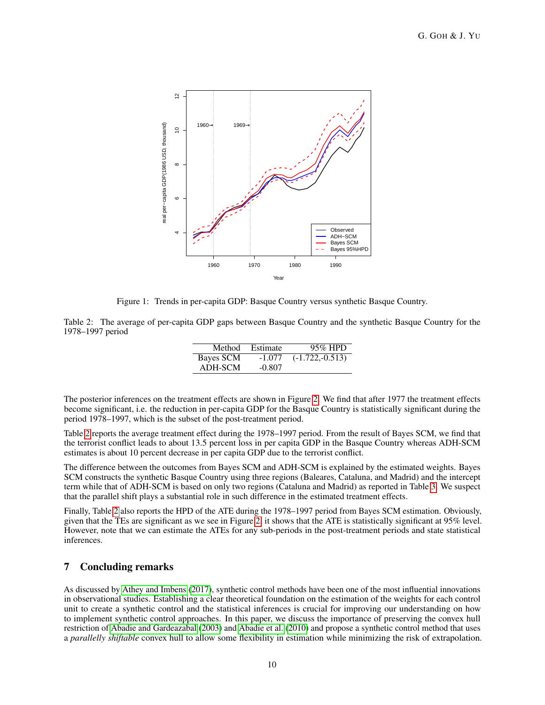

<span id="page-9-1"></span><span id="page-9-0"></span>Figure 1: Trends in per-capita GDP: Basque Country versus synthetic Basque Country.

Table 2: The average of per-capita GDP gaps between Basque Country and the synthetic Basque Country for the 1978–1997 period

|           | Method Estimate | 95% HPD           |
|-----------|-----------------|-------------------|
| Bayes SCM | $-1.077$        | $(-1.722,-0.513)$ |
| ADH-SCM   | $-0.807$        |                   |

The posterior inferences on the treatment effects are shown in Figure [2.](#page-10-0) We find that after 1977 the treatment effects become significant, i.e. the reduction in per-capita GDP for the Basque Country is statistically significant during the period 1978–1997, which is the subset of the post-treatment period.

Table [2](#page-9-1) reports the average treatment effect during the 1978–1997 period. From the result of Bayes SCM, we find that the terrorist conflict leads to about 13.5 percent loss in per capita GDP in the Basque Country whereas ADH-SCM estimates is about 10 percent decrease in per capita GDP due to the terrorist conflict.

The difference between the outcomes from Bayes SCM and ADH-SCM is explained by the estimated weights. Bayes SCM constructs the synthetic Basque Country using three regions (Baleares, Cataluna, and Madrid) and the intercept term while that of ADH-SCM is based on only two regions (Cataluna and Madrid) as reported in Table [3.](#page-10-1) We suspect that the parallel shift plays a substantial role in such difference in the estimated treatment effects.

Finally, Table [2](#page-9-1) also reports the HPD of the ATE during the 1978–1997 period from Bayes SCM estimation. Obviously, given that the TEs are significant as we see in Figure [2,](#page-10-0) it shows that the ATE is statistically significant at 95% level. However, note that we can estimate the ATEs for any sub-periods in the post-treatment periods and state statistical inferences.

## 7 Concluding remarks

As discussed by [Athey and Imbens](#page-11-2) [\(2017\)](#page-11-2), synthetic control methods have been one of the most influential innovations in observational studies. Establishing a clear theoretical foundation on the estimation of the weights for each control unit to create a synthetic control and the statistical inferences is crucial for improving our understanding on how to implement synthetic control approaches. In this paper, we discuss the importance of preserving the convex hull restriction of [Abadie and Gardeazabal](#page-11-0) [\(2003\)](#page-11-0) and [Abadie et al.](#page-11-6) [\(2010\)](#page-11-6) and propose a synthetic control method that uses a *parallelly shiftable* convex hull to allow some flexibility in estimation while minimizing the risk of extrapolation.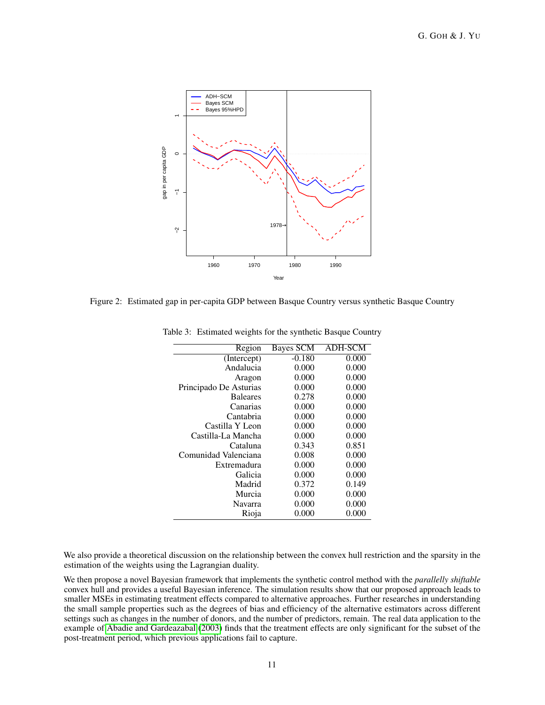

<span id="page-10-0"></span>Figure 2: Estimated gap in per-capita GDP between Basque Country versus synthetic Basque Country

<span id="page-10-1"></span>

| Region                 | Bayes SCM | <b>ADH-SCM</b> |
|------------------------|-----------|----------------|
| (Intercept)            | $-0.180$  | 0.000          |
| Andalucia              | 0.000     | 0.000          |
| Aragon                 | 0.000     | 0.000          |
| Principado De Asturias | 0.000     | 0.000          |
| <b>Baleares</b>        | 0.278     | 0.000          |
| Canarias               | 0.000     | 0.000          |
| Cantabria              | 0.000     | 0.000          |
| Castilla Y Leon        | 0.000     | 0.000          |
| Castilla-La Mancha     | 0.000     | 0.000          |
| Cataluna               | 0.343     | 0.851          |
| Comunidad Valenciana   | 0.008     | 0.000          |
| Extremadura            | 0.000     | 0.000          |
| Galicia                | 0.000     | 0.000          |
| Madrid                 | 0.372     | 0.149          |
| Murcia                 | 0.000     | 0.000          |
| Navarra                | 0.000     | 0.000          |
| Rioja                  | 0.000     | 0.000          |

Table 3: Estimated weights for the synthetic Basque Country

We also provide a theoretical discussion on the relationship between the convex hull restriction and the sparsity in the estimation of the weights using the Lagrangian duality.

We then propose a novel Bayesian framework that implements the synthetic control method with the *parallelly shiftable* convex hull and provides a useful Bayesian inference. The simulation results show that our proposed approach leads to smaller MSEs in estimating treatment effects compared to alternative approaches. Further researches in understanding the small sample properties such as the degrees of bias and efficiency of the alternative estimators across different settings such as changes in the number of donors, and the number of predictors, remain. The real data application to the example of [Abadie and Gardeazabal](#page-11-0) [\(2003\)](#page-11-0) finds that the treatment effects are only significant for the subset of the post-treatment period, which previous applications fail to capture.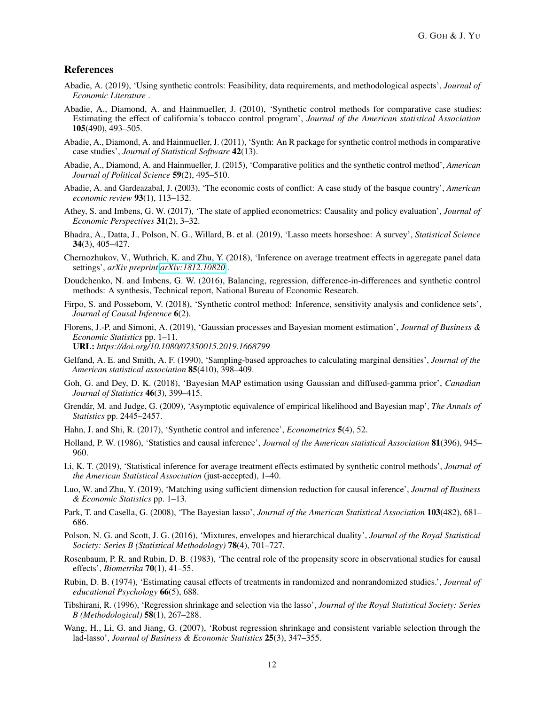#### References

- <span id="page-11-7"></span>Abadie, A. (2019), 'Using synthetic controls: Feasibility, data requirements, and methodological aspects', *Journal of Economic Literature* .
- <span id="page-11-6"></span>Abadie, A., Diamond, A. and Hainmueller, J. (2010), 'Synthetic control methods for comparative case studies: Estimating the effect of california's tobacco control program', *Journal of the American statistical Association* 105(490), 493–505.
- <span id="page-11-23"></span>Abadie, A., Diamond, A. and Hainmueller, J. (2011), 'Synth: An R package for synthetic control methods in comparative case studies', *Journal of Statistical Software* 42(13).
- <span id="page-11-8"></span>Abadie, A., Diamond, A. and Hainmueller, J. (2015), 'Comparative politics and the synthetic control method', *American Journal of Political Science* 59(2), 495–510.
- <span id="page-11-0"></span>Abadie, A. and Gardeazabal, J. (2003), 'The economic costs of conflict: A case study of the basque country', *American economic review* 93(1), 113–132.
- <span id="page-11-2"></span>Athey, S. and Imbens, G. W. (2017), 'The state of applied econometrics: Causality and policy evaluation', *Journal of Economic Perspectives* 31(2), 3–32.
- <span id="page-11-18"></span>Bhadra, A., Datta, J., Polson, N. G., Willard, B. et al. (2019), 'Lasso meets horseshoe: A survey', *Statistical Science* 34(3), 405–427.
- <span id="page-11-13"></span>Chernozhukov, V., Wuthrich, K. and Zhu, Y. (2018), 'Inference on average treatment effects in aggregate panel data settings', *arXiv preprint [arXiv:1812.10820](http://arxiv.org/abs/1812.10820)* .
- <span id="page-11-9"></span>Doudchenko, N. and Imbens, G. W. (2016), Balancing, regression, difference-in-differences and synthetic control methods: A synthesis, Technical report, National Bureau of Economic Research.
- <span id="page-11-11"></span>Firpo, S. and Possebom, V. (2018), 'Synthetic control method: Inference, sensitivity analysis and confidence sets', *Journal of Causal Inference* 6(2).
- <span id="page-11-16"></span>Florens, J.-P. and Simoni, A. (2019), 'Gaussian processes and Bayesian moment estimation', *Journal of Business & Economic Statistics* pp. 1–11. URL: *https://doi.org/10.1080/07350015.2019.1668799*
- <span id="page-11-22"></span>Gelfand, A. E. and Smith, A. F. (1990), 'Sampling-based approaches to calculating marginal densities', *Journal of the American statistical association* 85(410), 398–409.
- <span id="page-11-15"></span>Goh, G. and Dey, D. K. (2018), 'Bayesian MAP estimation using Gaussian and diffused-gamma prior', *Canadian Journal of Statistics* 46(3), 399–415.
- <span id="page-11-14"></span>Grendár, M. and Judge, G. (2009), 'Asymptotic equivalence of empirical likelihood and Bayesian map', *The Annals of Statistics* pp. 2445–2457.
- <span id="page-11-12"></span>Hahn, J. and Shi, R. (2017), 'Synthetic control and inference', *Econometrics* 5(4), 52.
- <span id="page-11-3"></span>Holland, P. W. (1986), 'Statistics and causal inference', *Journal of the American statistical Association* 81(396), 945– 960.
- <span id="page-11-10"></span>Li, K. T. (2019), 'Statistical inference for average treatment effects estimated by synthetic control methods', *Journal of the American Statistical Association* (just-accepted), 1–40.
- <span id="page-11-1"></span>Luo, W. and Zhu, Y. (2019), 'Matching using sufficient dimension reduction for causal inference', *Journal of Business & Economic Statistics* pp. 1–13.
- <span id="page-11-21"></span>Park, T. and Casella, G. (2008), 'The Bayesian lasso', *Journal of the American Statistical Association* 103(482), 681– 686.
- <span id="page-11-17"></span>Polson, N. G. and Scott, J. G. (2016), 'Mixtures, envelopes and hierarchical duality', *Journal of the Royal Statistical Society: Series B (Statistical Methodology)* 78(4), 701–727.
- <span id="page-11-5"></span>Rosenbaum, P. R. and Rubin, D. B. (1983), 'The central role of the propensity score in observational studies for causal effects', *Biometrika* 70(1), 41–55.
- <span id="page-11-4"></span>Rubin, D. B. (1974), 'Estimating causal effects of treatments in randomized and nonrandomized studies.', *Journal of educational Psychology* 66(5), 688.
- <span id="page-11-19"></span>Tibshirani, R. (1996), 'Regression shrinkage and selection via the lasso', *Journal of the Royal Statistical Society: Series B (Methodological)* 58(1), 267–288.
- <span id="page-11-20"></span>Wang, H., Li, G. and Jiang, G. (2007), 'Robust regression shrinkage and consistent variable selection through the lad-lasso', *Journal of Business & Economic Statistics* 25(3), 347–355.